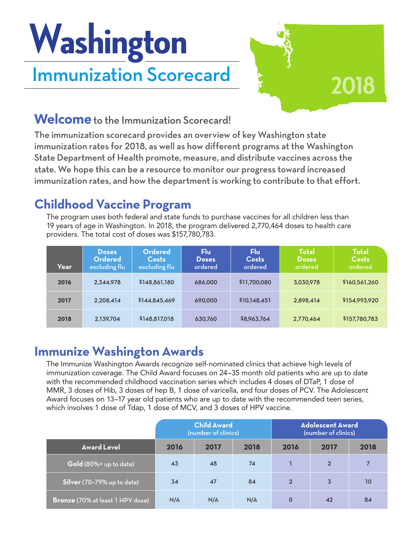# Immunization Scorecard **Washington**



### **Welcome** to the Immunization Scorecard!

The immunization scorecard provides an overview of key Washington state immunization rates for 2018, as well as how different programs at the Washington State Department of Health promote, measure, and distribute vaccines across the state. We hope this can be a resource to monitor our progress toward increased immunization rates, and how the department is working to contribute to that effort.

## **Childhood Vaccine Program**

The program uses both federal and state funds to purchase vaccines for all children less than 19 years of age in Washington. In 2018, the program delivered 2,770,464 doses to health care providers. The total cost of doses was \$157,780,783.

| Year | Doses<br><b>Ordered</b><br>excluding flu | Ordered<br>Costs<br>excluding flu | Flu<br><b>Doses</b><br>ordered | Flu<br>Costs<br>ordered | <b>Total</b><br><b>Doses</b><br>ordered | <b>Total</b><br><b>Costs</b><br>ordered |
|------|------------------------------------------|-----------------------------------|--------------------------------|-------------------------|-----------------------------------------|-----------------------------------------|
| 2016 | 2.344.978                                | \$148,861,180                     | 686,000                        | \$11,700,080            | 3,030,978                               | \$160,561,260                           |
| 2017 | 2.208.414                                | \$144,845,469                     | 690,000                        | \$10,148,451            | 2.898.414                               | \$154,993,920                           |
| 2018 | 2.139.704                                | \$148,817,018                     | 630.760                        | \$8,963,764             | 2,770,464                               | \$157,780,783                           |

### **Immunize Washington Awards**

The Immunize Washington Awards recognize self-nominated clinics that achieve high levels of immunization coverage. The Child Award focuses on 24–35 month old patients who are up to date with the recommended childhood vaccination series which includes 4 doses of DTaP, 1 dose of MMR, 3 doses of Hib, 3 doses of hep B, 1 dose of varicella, and four doses of PCV. The Adolescent Award focuses on 13–17 year old patients who are up to date with the recommended teen series, which involves 1 dose of Tdap, 1 dose of MCV, and 3 doses of HPV vaccine.

|                                         | <b>Child Award</b><br>(number of clinics) |      |      | <b>Adolescent Award</b><br>(number of clinics) |                |      |
|-----------------------------------------|-------------------------------------------|------|------|------------------------------------------------|----------------|------|
| <b>Award Level</b>                      | 2016                                      | 2017 | 2018 | 2016                                           | 2017           | 2018 |
| Gold (80%+ up to date)                  | 43                                        | 48   | 74   |                                                | $\overline{2}$ | 7    |
| Silver (70-79% up to date)              | 34                                        | 47   | 84   | $\overline{2}$                                 | $\overline{3}$ | 10   |
| <b>Bronze</b> (70% at least 1 HPV dose) | N/A                                       | N/A  | N/A  | $\mathbf 0$                                    | 42             | 84   |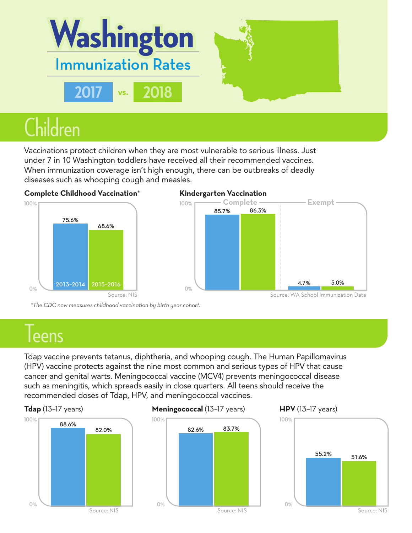

Vaccinations protect children when they are most vulnerable to serious illness. Just under 7 in 10 Washington toddlers have received all their recommended vaccines. When immunization coverage isn't high enough, there can be outbreaks of deadly diseases such as whooping cough and measles.





*\*The CDC now measures childhood vaccination by birth year cohort.*

## leens

Tdap vaccine prevents tetanus, diphtheria, and whooping cough. The Human Papillomavirus (HPV) vaccine protects against the nine most common and serious types of HPV that cause cancer and genital warts. Meningococcal vaccine (MCV4) prevents meningococcal disease such as meningitis, which spreads easily in close quarters. All teens should receive the recommended doses of Tdap, HPV, and meningococcal vaccines.



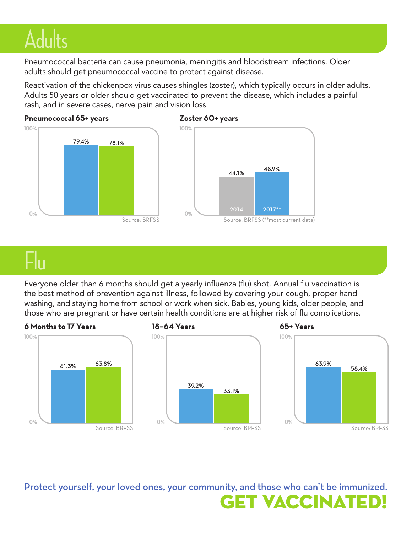## **Adults**

Pneumococcal bacteria can cause pneumonia, meningitis and bloodstream infections. Older adults should get pneumococcal vaccine to protect against disease.

Reactivation of the chickenpox virus causes shingles (zoster), which typically occurs in older adults. Adults 50 years or older should get vaccinated to prevent the disease, which includes a painful rash, and in severe cases, nerve pain and vision loss.





## Flu

Everyone older than 6 months should get a yearly influenza (flu) shot. Annual flu vaccination is the best method of prevention against illness, followed by covering your cough, proper hand washing, and staying home from school or work when sick. Babies, young kids, older people, and those who are pregnant or have certain health conditions are at higher risk of flu complications.









**GET VACCINAT** Protect yourself, your loved ones, your community, and those who can't be immunized.